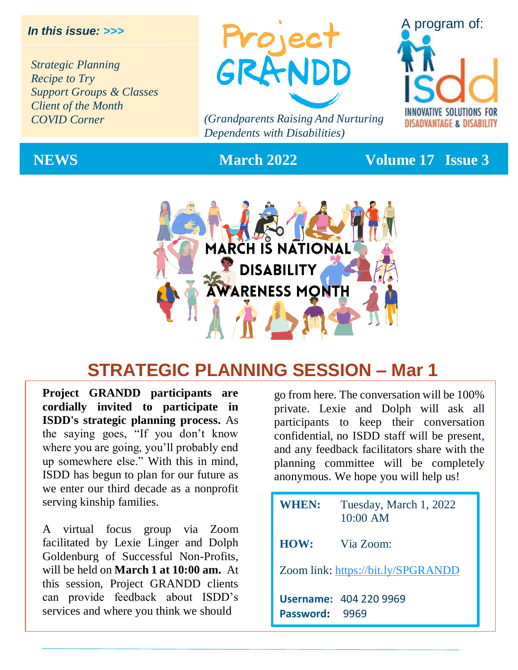#### *In this issue: >>>*

*Strategic Planning Recipe to Try Support Groups & Classes Client of the Month COVID Corner*



*(Grandparents Raising And Nurturing Dependents with Disabilities)*



#### **NEWS March 2022 Volume 17 Issue 3**



## **STRATEGIC PLANNING SESSION – Mar 1**

**Project GRANDD participants are cordially invited to participate in ISDD's strategic planning process.** As the saying goes, "If you don't know where you are going, you'll probably end up somewhere else." With this in mind, ISDD has begun to plan for our future as we enter our third decade as a nonprofit serving kinship families.

A virtual focus group via Zoom facilitated by Lexie Linger and Dolph Goldenburg of Successful Non-Profits, will be held on **March 1 at 10:00 am.** At this session, Project GRANDD clients can provide feedback about ISDD's services and where you think we should

go from here. The conversation will be 100% private. Lexie and Dolph will ask all participants to keep their conversation confidential, no ISDD staff will be present, and any feedback facilitators share with the planning committee will be completely anonymous. We hope you will help us!

| <b>WHEN:</b>                       | Tuesday, March 1, 2022<br>$10:00$ AM |  |
|------------------------------------|--------------------------------------|--|
| HOW:                               | Via Zoom:                            |  |
| Zoom link: https://bit.ly/SPGRANDD |                                      |  |
| Password: 9969                     | <b>Username: 404 220 9969</b>        |  |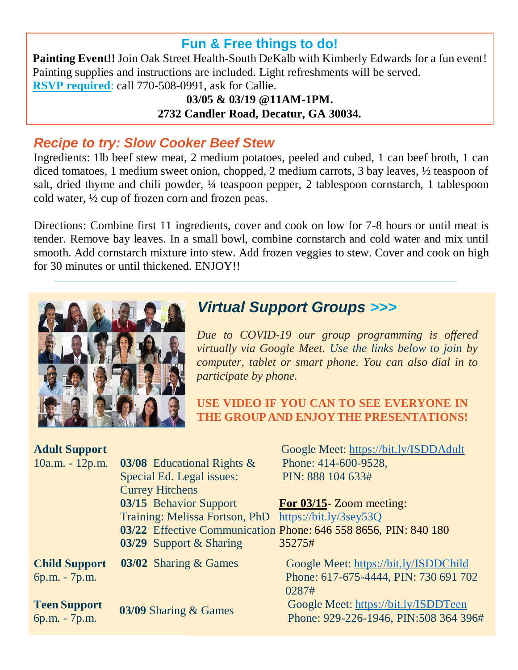#### **Fun & Free things to do!**

**Painting Event!!** Join Oak Street Health-South DeKalb with Kimberly Edwards for a fun event! Painting supplies and instructions are included. Light refreshments will be served. **RSVP required**: call 770-508-0991, ask for Callie.

**03/05 & 03/19 @11AM-1PM. 2732 Candler Road, Decatur, GA 30034.**

#### *Recipe to try: Slow Cooker Beef Stew*

Ingredients: 1lb beef stew meat, 2 medium potatoes, peeled and cubed, 1 can beef broth, 1 can diced tomatoes, 1 medium sweet onion, chopped, 2 medium carrots, 3 bay leaves, ½ teaspoon of salt, dried thyme and chili powder, ¼ teaspoon pepper, 2 tablespoon cornstarch, 1 tablespoon cold water, ½ cup of frozen corn and frozen peas.

Directions: Combine first 11 ingredients, cover and cook on low for 7-8 hours or until meat is tender. Remove bay leaves. In a small bowl, combine cornstarch and cold water and mix until smooth. Add cornstarch mixture into stew. Add frozen veggies to stew. Cover and cook on high for 30 minutes or until thickened. ENJOY!!



## *Virtual Support Groups* >>>

*Due to COVID-19 our group programming is offered virtually via Google Meet. Use the links below to join by computer, tablet or smart phone. You can also dial in to participate by phone.*

**USE VIDEO IF YOU CAN TO SEE EVERYONE IN THE GROUPAND ENJOY THE PRESENTATIONS!**

| <b>Adult Support</b> |                                | Google Meet: https://bit.ly/ISDDAdult                           |
|----------------------|--------------------------------|-----------------------------------------------------------------|
| $10a.m. - 12p.m.$    | 03/08 Educational Rights $\&$  | Phone: 414-600-9528,                                            |
|                      | Special Ed. Legal issues:      | PIN: 888 104 633#                                               |
|                      | <b>Currey Hitchens</b>         |                                                                 |
|                      | 03/15 Behavior Support         | For $03/15$ - Zoom meeting:                                     |
|                      | Training: Melissa Fortson, PhD | https://bit.ly/3sey53Q                                          |
|                      |                                | 03/22 Effective Communication Phone: 646 558 8656, PIN: 840 180 |
|                      | 03/29 Support & Sharing        | 35275#                                                          |
| <b>Child Support</b> | 03/02 Sharing & Games          | Google Meet: https://bit.ly/ISDDChild                           |
| 6p.m. - 7p.m.        |                                | Phone: 617-675-4444, PIN: 730 691 702                           |
|                      |                                | 0287#                                                           |
| <b>Teen Support</b>  | 03/09 Sharing & Games          | Google Meet: https://bit.ly/ISDDTeen                            |
| 6p.m. - 7p.m.        |                                | Phone: 929-226-1946, PIN:508 364 396#                           |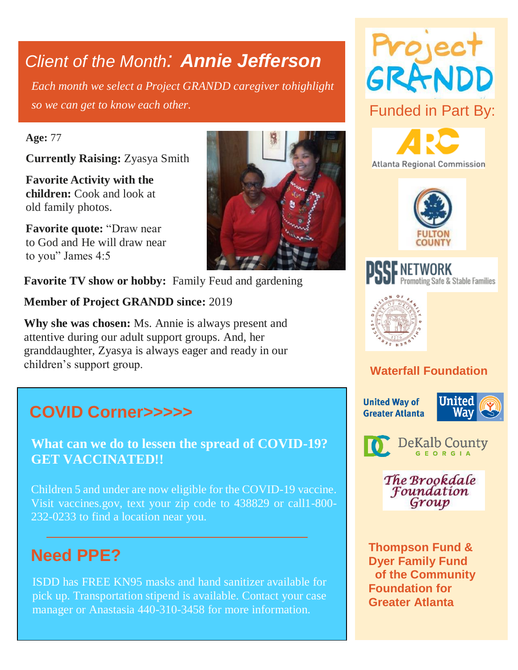## *Client of the Month: Annie Jefferson*

*Each month we select a Project GRANDD caregiver tohighlight so we can get to know each other.*

#### **Age:** 77

**Currently Raising:** Zyasya Smith

**Favorite Activity with the children:** Cook and look at old family photos.

**Favorite quote:** "Draw near to God and He will draw near to you" James 4:5

**Favorite TV show or hobby:** Family Feud and gardening

**Member of Project GRANDD since:** 2019

**Why she was chosen:** Ms. Annie is always present and attentive during our adult support groups. And, her granddaughter, Zyasya is always eager and ready in our children's support group.

## **COVID Corner>>>>>**

**What can we do to lessen the spread of COVID-19? GET VACCINATED!!**

Children 5 and under are now eligible for the COVID-19 vaccine. Visit vaccines.gov, text your zip code to 438829 or call1-800- 232-0233 to find a location near you.

## **Need PPE?**

ISDD has FREE KN95 masks and hand sanitizer available for pick up. Transportation stipend is available. Contact your case manager or Anastasia 440-310-3458 for more information.













### **Waterfall Foundation**

**United Way of Greater Atlanta** 





The Brookdale Foundation Group

**Thompson Fund & Dyer Family Fund of the Community Foundation for Greater Atlanta**